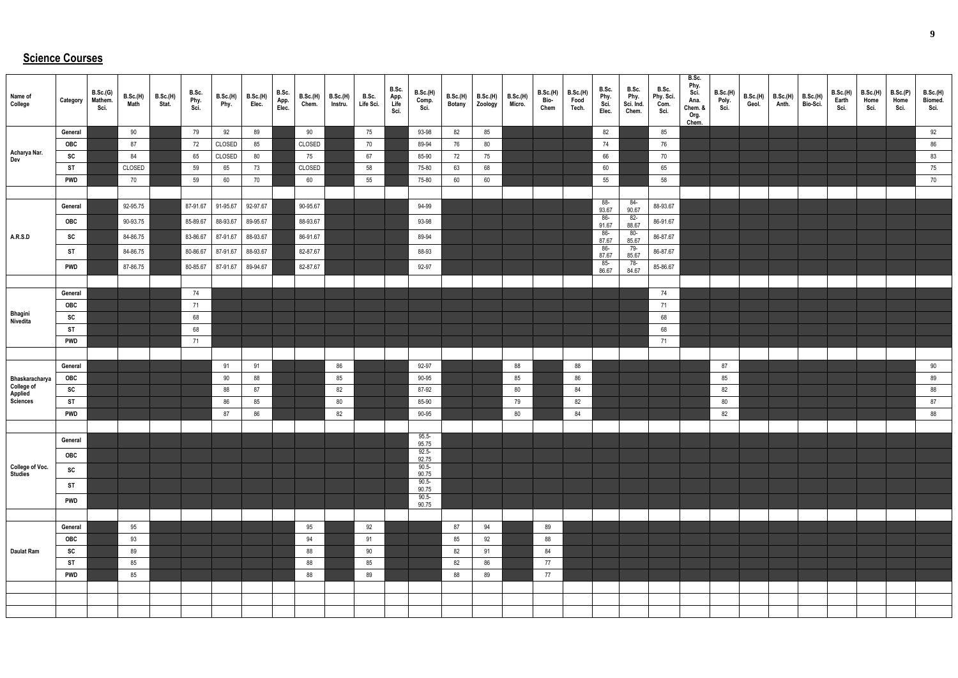## **Science Courses**

| Name of<br>College                         | Category        | B.Sc.(G)<br>Mathem.<br>Sci. | B.Sc.(H)<br>Math | <b>B.Sc.(H)</b><br>Stat. | B.Sc.<br>Phy.<br>Sci. | <b>B.Sc.(H)</b><br>Phy. | <b>B.Sc.(H)</b><br>Elec. | B.Sc.<br>App.<br>Elec. | <b>B.Sc.(H)</b><br>Chem. | <b>B.Sc.(H)</b><br>Instru. | B.Sc.<br>Life Sci. | B.Sc.<br>App.<br>Life<br>Sci. | B.Sc.(H)<br>Comp.<br>Sci. | B.Sc.(H)<br><b>Botany</b> | B.Sc.(H)<br>Zoology | B.Sc.(H)<br>Micro. | B.Sc.(H)<br>Bio-<br>Chem | <b>B.Sc.(H)</b><br>Food<br>Tech. | B.Sc.<br>Phy.<br>Sci.<br>Elec. | B.Sc.<br>Phy.<br>Sci. Ind.<br>Chem. | B.Sc.<br>Phy. Sci.<br>Com.<br>Sci. | B.Sc.<br>Phy.<br>Sci.<br>Ana.<br>Chem. &<br>Org.<br>Chem. | B.Sc.(H)<br>Poly.<br>Sci. | B.Sc.(H)<br>Geol. | $B.Sc.(H)$ B.Sc.(H)<br>Anth. | Bio-Sci. | B.Sc.(H)<br>Earth<br>Sci. | <b>B.Sc.(H)</b><br>Home<br>Sci. | B.Sc.(P)<br>Home<br>Sci. | B.Sc.(H)<br>Biomed.<br>Sci. |
|--------------------------------------------|-----------------|-----------------------------|------------------|--------------------------|-----------------------|-------------------------|--------------------------|------------------------|--------------------------|----------------------------|--------------------|-------------------------------|---------------------------|---------------------------|---------------------|--------------------|--------------------------|----------------------------------|--------------------------------|-------------------------------------|------------------------------------|-----------------------------------------------------------|---------------------------|-------------------|------------------------------|----------|---------------------------|---------------------------------|--------------------------|-----------------------------|
|                                            | General         |                             | 90               |                          | 79                    | 92                      | 89                       |                        | 90                       |                            | 75                 |                               | 93-98                     | 82                        | 85                  |                    |                          |                                  | 82                             |                                     | 85                                 |                                                           |                           |                   |                              |          |                           |                                 |                          | 92                          |
|                                            | OBC             |                             | 87               |                          | 72                    | CLOSED                  | 85                       |                        | CLOSED                   |                            | 70                 |                               | 89-94                     | 76                        | 80                  |                    |                          |                                  | 74                             |                                     | 76                                 |                                                           |                           |                   |                              |          |                           |                                 |                          | 86                          |
| Acharya Nar.<br>Dev                        | SC              |                             | 84               |                          | 65                    | CLOSED                  | 80                       |                        | 75                       |                            | 67                 |                               | 85-90                     | 72                        | 75                  |                    |                          |                                  | 66                             |                                     | 70                                 |                                                           |                           |                   |                              |          |                           |                                 |                          | 83                          |
|                                            | <b>ST</b>       |                             | CLOSED           |                          | 59                    | 65                      | 73                       |                        | CLOSED                   |                            | 58                 |                               | 75-80                     | 63                        | 68                  |                    |                          |                                  | 60                             |                                     | 65                                 |                                                           |                           |                   |                              |          |                           |                                 |                          | 75                          |
|                                            | <b>PWD</b>      |                             | 70               |                          | 59                    | 60                      | 70                       |                        | 60                       |                            | 55                 |                               | 75-80                     | 60                        | 60                  |                    |                          |                                  | 55                             |                                     | 58                                 |                                                           |                           |                   |                              |          |                           |                                 |                          | 70                          |
|                                            |                 |                             |                  |                          |                       |                         |                          |                        |                          |                            |                    |                               |                           |                           |                     |                    |                          |                                  | 88-                            | 84-                                 |                                    |                                                           |                           |                   |                              |          |                           |                                 |                          |                             |
|                                            | General         |                             | 92-95.75         |                          | 87-91.67              | 91-95.67                | 92-97.67                 |                        | 90-95.67                 |                            |                    |                               | 94-99                     |                           |                     |                    |                          |                                  | 93.67                          | 90.67                               | 88-93.67                           |                                                           |                           |                   |                              |          |                           |                                 |                          |                             |
|                                            | OBC             |                             | 90-93.75         |                          | 85-89.67              | 88-93.67                | 89-95.67                 |                        | 88-93.67                 |                            |                    |                               | 93-98                     |                           |                     |                    |                          |                                  | 86-<br>91.67                   | 82-<br>88.67                        | 86-91.67                           |                                                           |                           |                   |                              |          |                           |                                 |                          |                             |
| A.R.S.D                                    | SC              |                             | 84-86.75         |                          | 83-86.67              | 87-91.67                | 88-93.67                 |                        | 86-91.67                 |                            |                    |                               | 89-94                     |                           |                     |                    |                          |                                  | 86-<br>87.67                   | -80<br>85.67                        | 86-87.67                           |                                                           |                           |                   |                              |          |                           |                                 |                          |                             |
|                                            | <b>ST</b>       |                             | 84-86.75         |                          | 80-86.67              | 87-91.67                | 88-93.67                 |                        | 82-87.67                 |                            |                    |                               | 88-93                     |                           |                     |                    |                          |                                  | 86-<br>87.67                   | 79-<br>85.67                        | 86-87.67                           |                                                           |                           |                   |                              |          |                           |                                 |                          |                             |
|                                            | <b>PWD</b>      |                             | 87-86.75         |                          | 80-85.67              | 87-91.67                | 89-94.67                 |                        | 82-87.67                 |                            |                    |                               | 92-97                     |                           |                     |                    |                          |                                  | $85-$                          | -78                                 | 85-86.67                           |                                                           |                           |                   |                              |          |                           |                                 |                          |                             |
|                                            |                 |                             |                  |                          |                       |                         |                          |                        |                          |                            |                    |                               |                           |                           |                     |                    |                          |                                  | 86.67                          | 84.67                               |                                    |                                                           |                           |                   |                              |          |                           |                                 |                          |                             |
|                                            | General         |                             |                  |                          | 74                    |                         |                          |                        |                          |                            |                    |                               |                           |                           |                     |                    |                          |                                  |                                |                                     | 74                                 |                                                           |                           |                   |                              |          |                           |                                 |                          |                             |
|                                            | OBC             |                             |                  |                          | 71                    |                         |                          |                        |                          |                            |                    |                               |                           |                           |                     |                    |                          |                                  |                                |                                     | 71                                 |                                                           |                           |                   |                              |          |                           |                                 |                          |                             |
| Bhagini<br>Nivedita                        | SC              |                             |                  |                          | 68                    |                         |                          |                        |                          |                            |                    |                               |                           |                           |                     |                    |                          |                                  |                                |                                     | 68                                 |                                                           |                           |                   |                              |          |                           |                                 |                          |                             |
|                                            | <b>ST</b>       |                             |                  |                          | 68                    |                         |                          |                        |                          |                            |                    |                               |                           |                           |                     |                    |                          |                                  |                                |                                     | 68                                 |                                                           |                           |                   |                              |          |                           |                                 |                          |                             |
|                                            | <b>PWD</b>      |                             |                  |                          | 71                    |                         |                          |                        |                          |                            |                    |                               |                           |                           |                     |                    |                          |                                  |                                |                                     | 71                                 |                                                           |                           |                   |                              |          |                           |                                 |                          |                             |
|                                            |                 |                             |                  |                          |                       |                         |                          |                        |                          |                            |                    |                               |                           |                           |                     |                    |                          |                                  |                                |                                     |                                    |                                                           |                           |                   |                              |          |                           |                                 |                          |                             |
|                                            | General         |                             |                  |                          |                       | 91                      | 91                       |                        |                          | 86                         |                    |                               | 92-97                     |                           |                     | 88                 |                          | 88                               |                                |                                     |                                    |                                                           | 87                        |                   |                              |          |                           |                                 |                          | 90                          |
| Bhaskaracharya                             | OBC             |                             |                  |                          |                       | 90                      | 88                       |                        |                          | 85                         |                    |                               | 90-95                     |                           |                     | 85                 |                          | 86                               |                                |                                     |                                    |                                                           | 85                        |                   |                              |          |                           |                                 |                          | 89                          |
| <b>College of<br/>Applied<br/>Sciences</b> | SC<br><b>ST</b> |                             |                  |                          |                       | 88<br>86                | 87<br>85                 |                        |                          | 82<br>80                   |                    |                               | 87-92<br>85-90            |                           |                     | 80<br>79           |                          | 84<br>82                         |                                |                                     |                                    |                                                           | 82<br>80                  |                   |                              |          |                           |                                 |                          | 88<br>87                    |
|                                            | <b>PWD</b>      |                             |                  |                          |                       | 87                      | 86                       |                        |                          | 82                         |                    |                               | 90-95                     |                           |                     | 80                 |                          | 84                               |                                |                                     |                                    |                                                           | 82                        |                   |                              |          |                           |                                 |                          | 88                          |
|                                            |                 |                             |                  |                          |                       |                         |                          |                        |                          |                            |                    |                               |                           |                           |                     |                    |                          |                                  |                                |                                     |                                    |                                                           |                           |                   |                              |          |                           |                                 |                          |                             |
|                                            | General         |                             |                  |                          |                       |                         |                          |                        |                          |                            |                    |                               | $95.5 -$                  |                           |                     |                    |                          |                                  |                                |                                     |                                    |                                                           |                           |                   |                              |          |                           |                                 |                          |                             |
|                                            |                 |                             |                  |                          |                       |                         |                          |                        |                          |                            |                    |                               | 95.75<br>$92.5 -$         |                           |                     |                    |                          |                                  |                                |                                     |                                    |                                                           |                           |                   |                              |          |                           |                                 |                          |                             |
| College of Voc.                            | OBC             |                             |                  |                          |                       |                         |                          |                        |                          |                            |                    |                               | 92.75<br>$90.5 -$         |                           |                     |                    |                          |                                  |                                |                                     |                                    |                                                           |                           |                   |                              |          |                           |                                 |                          |                             |
| <b>Studies</b>                             | SC              |                             |                  |                          |                       |                         |                          |                        |                          |                            |                    |                               | 90.75                     |                           |                     |                    |                          |                                  |                                |                                     |                                    |                                                           |                           |                   |                              |          |                           |                                 |                          |                             |
|                                            | <b>ST</b>       |                             |                  |                          |                       |                         |                          |                        |                          |                            |                    |                               | $90.5 -$<br>90.75         |                           |                     |                    |                          |                                  |                                |                                     |                                    |                                                           |                           |                   |                              |          |                           |                                 |                          |                             |
|                                            | <b>PWD</b>      |                             |                  |                          |                       |                         |                          |                        |                          |                            |                    |                               | $90.5 -$<br>90.75         |                           |                     |                    |                          |                                  |                                |                                     |                                    |                                                           |                           |                   |                              |          |                           |                                 |                          |                             |
|                                            |                 |                             |                  |                          |                       |                         |                          |                        |                          |                            |                    |                               |                           |                           |                     |                    |                          |                                  |                                |                                     |                                    |                                                           |                           |                   |                              |          |                           |                                 |                          |                             |
|                                            | General         |                             | 95               |                          |                       |                         |                          |                        | 95                       |                            | 92                 |                               |                           | 87                        | 94                  |                    | 89                       |                                  |                                |                                     |                                    |                                                           |                           |                   |                              |          |                           |                                 |                          |                             |
|                                            | OBC             |                             | 93               |                          |                       |                         |                          |                        | 94                       |                            | 91                 |                               |                           | 85                        | 92                  |                    | 88                       |                                  |                                |                                     |                                    |                                                           |                           |                   |                              |          |                           |                                 |                          |                             |
| Daulat Ram                                 | SC              |                             | 89               |                          |                       |                         |                          |                        | 88                       |                            | 90                 |                               |                           | 82                        | 91                  |                    | 84                       |                                  |                                |                                     |                                    |                                                           |                           |                   |                              |          |                           |                                 |                          |                             |
|                                            | <b>ST</b>       |                             | 85               |                          |                       |                         |                          |                        | 88                       |                            | 85                 |                               |                           | 82                        | 86                  |                    | 77                       |                                  |                                |                                     |                                    |                                                           |                           |                   |                              |          |                           |                                 |                          |                             |
|                                            | <b>PWD</b>      |                             | 85               |                          |                       |                         |                          |                        | 88                       |                            | 89                 |                               |                           | 88                        | 89                  |                    | 77                       |                                  |                                |                                     |                                    |                                                           |                           |                   |                              |          |                           |                                 |                          |                             |
|                                            |                 |                             |                  |                          |                       |                         |                          |                        |                          |                            |                    |                               |                           |                           |                     |                    |                          |                                  |                                |                                     |                                    |                                                           |                           |                   |                              |          |                           |                                 |                          |                             |
|                                            |                 |                             |                  |                          |                       |                         |                          |                        |                          |                            |                    |                               |                           |                           |                     |                    |                          |                                  |                                |                                     |                                    |                                                           |                           |                   |                              |          |                           |                                 |                          |                             |
|                                            |                 |                             |                  |                          |                       |                         |                          |                        |                          |                            |                    |                               |                           |                           |                     |                    |                          |                                  |                                |                                     |                                    |                                                           |                           |                   |                              |          |                           |                                 |                          |                             |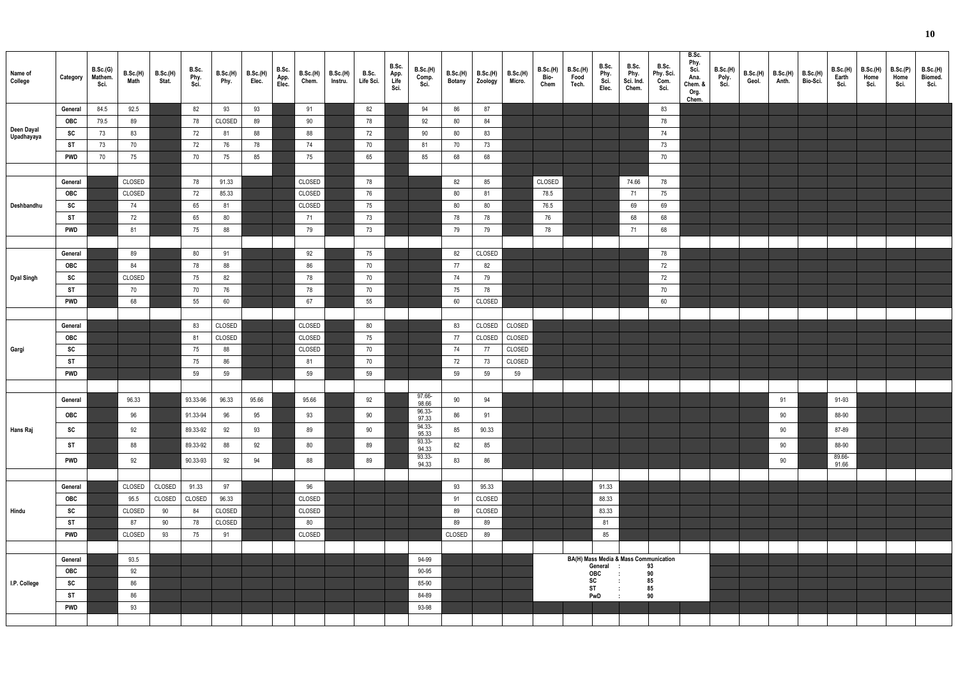| Name of<br>College       | Category   | B.Sc.(G)<br>Mathem.<br>Sci. | B.Sc.(H)<br>Math | B.Sc.(H)<br>Stat. | B.Sc.<br>Phy.<br>Sci. | B.Sc.(H)<br>Phy. | <b>B.Sc.(H)</b><br>Elec. | B.Sc.<br>App.<br>Elec. | B.Sc.(H)<br>Chem. | <b>B.Sc.(H)</b><br>Instru. | B.Sc.<br>Life Sci. | B.Sc.<br>App.<br>Life<br>Sci. | B.Sc.(H)<br>Comp.<br>Sci. | B.Sc.(H)<br><b>Botany</b> | <b>B.Sc.(H)</b><br>Zoology | B.Sc.(H)<br>Micro. | B.Sc.(H)<br><b>Bio-</b><br>Chem | <b>B.Sc.(H)</b><br>Food<br>Tech. | B.Sc.<br>Phy.<br>Sci.<br>Elec. | B.Sc.<br>Phy.<br>Sci. Ind.<br>Chem. | B.Sc.<br>Phy. Sci.<br>Com.<br>Sci.    | B.Sc.<br>Phy.<br>Sci.<br>Ana.<br>Chem. &<br>Org.<br>Chem. | B.Sc.(H)<br>Poly.<br>Sci. | <b>B.Sc.(H)</b><br>Geol. | B.Sc.(H)<br>Anth. | <b>B.Sc.(H)</b><br>Bio-Sci. | <b>B.Sc.(H)</b><br>Earth<br>Sci. | <b>B.Sc.(H)</b><br>Home<br>Sci. | B.Sc.(P)<br>Home<br>Sci. | <b>B.Sc.(H)</b><br>Biomed.<br>Sci. |
|--------------------------|------------|-----------------------------|------------------|-------------------|-----------------------|------------------|--------------------------|------------------------|-------------------|----------------------------|--------------------|-------------------------------|---------------------------|---------------------------|----------------------------|--------------------|---------------------------------|----------------------------------|--------------------------------|-------------------------------------|---------------------------------------|-----------------------------------------------------------|---------------------------|--------------------------|-------------------|-----------------------------|----------------------------------|---------------------------------|--------------------------|------------------------------------|
|                          | General    | 84.5                        | 92.5             |                   | 82                    | 93               | 93                       |                        | 91                |                            | 82                 |                               | 94                        | 86                        | 87                         |                    |                                 |                                  |                                |                                     | 83                                    |                                                           |                           |                          |                   |                             |                                  |                                 |                          |                                    |
|                          | OBC        | 79.5                        | 89               |                   | 78                    | CLOSED           | 89                       |                        | 90                |                            | 78                 |                               | 92                        | 80                        | 84                         |                    |                                 |                                  |                                |                                     | 78                                    |                                                           |                           |                          |                   |                             |                                  |                                 |                          |                                    |
| Deen Dayal<br>Upadhayaya | SC         | 73                          | 83               |                   | 72                    | 81               | 88                       |                        | 88                |                            | 72                 |                               | 90                        | 80                        | 83                         |                    |                                 |                                  |                                |                                     | 74                                    |                                                           |                           |                          |                   |                             |                                  |                                 |                          |                                    |
|                          | ST         | 73                          | 70               |                   | 72                    | 76               | 78                       |                        | 74                |                            | 70                 |                               | 81                        | 70                        | 73                         |                    |                                 |                                  |                                |                                     | 73                                    |                                                           |                           |                          |                   |                             |                                  |                                 |                          |                                    |
|                          | <b>PWD</b> | 70                          | 75               |                   | 70                    | 75               | 85                       |                        | 75                |                            | 65                 |                               | 85                        | 68                        | 68                         |                    |                                 |                                  |                                |                                     | 70                                    |                                                           |                           |                          |                   |                             |                                  |                                 |                          |                                    |
|                          |            |                             |                  |                   |                       |                  |                          |                        |                   |                            |                    |                               |                           |                           |                            |                    |                                 |                                  |                                |                                     |                                       |                                                           |                           |                          |                   |                             |                                  |                                 |                          |                                    |
|                          | General    |                             | CLOSED           |                   | 78                    | 91.33            |                          |                        | CLOSED            |                            | 78                 |                               |                           | 82                        | 85                         |                    | CLOSED                          |                                  |                                | 74.66                               | 78                                    |                                                           |                           |                          |                   |                             |                                  |                                 |                          |                                    |
|                          | OBC        |                             | CLOSED           |                   | 72                    | 85.33            |                          |                        | CLOSED            |                            | 76                 |                               |                           | 80                        | 81                         |                    | 78.5                            |                                  |                                | 71                                  | 75                                    |                                                           |                           |                          |                   |                             |                                  |                                 |                          |                                    |
| Deshbandhu               | SC         |                             | 74               |                   | 65                    | 81               |                          |                        | CLOSED            |                            | 75                 |                               |                           | 80                        | 80                         |                    | 76.5                            |                                  |                                | 69                                  | 69                                    |                                                           |                           |                          |                   |                             |                                  |                                 |                          |                                    |
|                          | ST         |                             | 72               |                   | 65                    | 80               |                          |                        | 71                |                            | 73                 |                               |                           | 78                        | 78                         |                    | 76                              |                                  |                                | 68                                  | 68                                    |                                                           |                           |                          |                   |                             |                                  |                                 |                          |                                    |
|                          | <b>PWD</b> |                             | 81               |                   | 75                    | 88               |                          |                        | 79                |                            | 73                 |                               |                           | 79                        | 79                         |                    | 78                              |                                  |                                | 71                                  | 68                                    |                                                           |                           |                          |                   |                             |                                  |                                 |                          |                                    |
|                          | General    |                             | 89               |                   | 80                    |                  |                          |                        | 92                |                            | 75                 |                               |                           | 82                        | CLOSED                     |                    |                                 |                                  |                                |                                     | 78                                    |                                                           |                           |                          |                   |                             |                                  |                                 |                          |                                    |
|                          | OBC        |                             | 84               |                   | 78                    | 91<br>88         |                          |                        | 86                |                            | 70                 |                               |                           | 77                        | 82                         |                    |                                 |                                  |                                |                                     | 72                                    |                                                           |                           |                          |                   |                             |                                  |                                 |                          |                                    |
| <b>Dyal Singh</b>        | SC         |                             | CLOSED           |                   | 75                    | 82               |                          |                        | 78                |                            | 70                 |                               |                           | 74                        | 79                         |                    |                                 |                                  |                                |                                     | 72                                    |                                                           |                           |                          |                   |                             |                                  |                                 |                          |                                    |
|                          | ST         |                             | 70               |                   | 70                    | 76               |                          |                        | 78                |                            | 70                 |                               |                           | 75                        | 78                         |                    |                                 |                                  |                                |                                     | 70                                    |                                                           |                           |                          |                   |                             |                                  |                                 |                          |                                    |
|                          | <b>PWD</b> |                             | 68               |                   | 55                    | 60               |                          |                        | 67                |                            | 55                 |                               |                           | 60                        | CLOSED                     |                    |                                 |                                  |                                |                                     | 60                                    |                                                           |                           |                          |                   |                             |                                  |                                 |                          |                                    |
|                          |            |                             |                  |                   |                       |                  |                          |                        |                   |                            |                    |                               |                           |                           |                            |                    |                                 |                                  |                                |                                     |                                       |                                                           |                           |                          |                   |                             |                                  |                                 |                          |                                    |
|                          | General    |                             |                  |                   | 83                    | CLOSED           |                          |                        | CLOSED            |                            | 80                 |                               |                           | 83                        | CLOSED                     | CLOSED             |                                 |                                  |                                |                                     |                                       |                                                           |                           |                          |                   |                             |                                  |                                 |                          |                                    |
|                          | OBC        |                             |                  |                   | 81                    | CLOSED           |                          |                        | CLOSED            |                            | 75                 |                               |                           | 77                        | CLOSED                     | CLOSED             |                                 |                                  |                                |                                     |                                       |                                                           |                           |                          |                   |                             |                                  |                                 |                          |                                    |
| Gargi                    | SC         |                             |                  |                   | 75                    | 88               |                          |                        | CLOSED            |                            | 70                 |                               |                           | 74                        | 77                         | CLOSED             |                                 |                                  |                                |                                     |                                       |                                                           |                           |                          |                   |                             |                                  |                                 |                          |                                    |
|                          | ST         |                             |                  |                   | 75                    | 86               |                          |                        | 81                |                            | 70                 |                               |                           | 72                        | 73                         | CLOSED             |                                 |                                  |                                |                                     |                                       |                                                           |                           |                          |                   |                             |                                  |                                 |                          |                                    |
|                          | <b>PWD</b> |                             |                  |                   | 59                    | 59               |                          |                        | 59                |                            | 59                 |                               |                           | 59                        | 59                         | 59                 |                                 |                                  |                                |                                     |                                       |                                                           |                           |                          |                   |                             |                                  |                                 |                          |                                    |
|                          |            |                             |                  |                   |                       |                  |                          |                        |                   |                            |                    |                               |                           |                           |                            |                    |                                 |                                  |                                |                                     |                                       |                                                           |                           |                          |                   |                             |                                  |                                 |                          |                                    |
|                          | General    |                             | 96.33            |                   | 93.33-96              | 96.33            | 95.66                    |                        | 95.66             |                            | 92                 |                               | 97.66-<br>98.66           | 90                        | 94                         |                    |                                 |                                  |                                |                                     |                                       |                                                           |                           |                          | 91                |                             | 91-93                            |                                 |                          |                                    |
|                          | <b>OBC</b> |                             | 96               |                   | 91.33-94              | 96               | 95                       |                        | 93                |                            | 90                 |                               | 96.33-<br>97.33           | 86                        | 91                         |                    |                                 |                                  |                                |                                     |                                       |                                                           |                           |                          | 90                |                             | 88-90                            |                                 |                          |                                    |
| Hans Raj                 | SC         |                             | 92               |                   | 89.33-92              | 92               | 93                       |                        | 89                |                            | 90                 |                               | 94.33-                    | 85                        | 90.33                      |                    |                                 |                                  |                                |                                     |                                       |                                                           |                           |                          | 90                |                             | 87-89                            |                                 |                          |                                    |
|                          | <b>ST</b>  |                             | 88               |                   | 89.33-92              | 88               | 92                       |                        | 80                |                            | 89                 |                               | 95.33<br>93.33-           | 82                        | 85                         |                    |                                 |                                  |                                |                                     |                                       |                                                           |                           |                          | 90                |                             | 88-90                            |                                 |                          |                                    |
|                          | <b>PWD</b> |                             | 92               |                   | 90.33-93              | 92               | 94                       |                        | 88                |                            | 89                 |                               | 94.33<br>93.33-           | 83                        | 86                         |                    |                                 |                                  |                                |                                     |                                       |                                                           |                           |                          | 90                |                             | 89.66-                           |                                 |                          |                                    |
|                          |            |                             |                  |                   |                       |                  |                          |                        |                   |                            |                    |                               | 94.33                     |                           |                            |                    |                                 |                                  |                                |                                     |                                       |                                                           |                           |                          |                   |                             | 91.66                            |                                 |                          |                                    |
|                          | General    |                             | CLOSED           | CLOSED            | 91.33                 | 97               |                          |                        | 96                |                            |                    |                               |                           | 93                        | 95.33                      |                    |                                 |                                  | 91.33                          |                                     |                                       |                                                           |                           |                          |                   |                             |                                  |                                 |                          |                                    |
|                          | OBC        |                             | 95.5             | CLOSED            | CLOSED                | 96.33            |                          |                        | CLOSED            |                            |                    |                               |                           | 91                        | CLOSED                     |                    |                                 |                                  | 88.33                          |                                     |                                       |                                                           |                           |                          |                   |                             |                                  |                                 |                          |                                    |
| Hindu                    | SC         |                             | CLOSED           | 90                | 84                    | CLOSED           |                          |                        | CLOSED            |                            |                    |                               |                           | 89                        | CLOSED                     |                    |                                 |                                  | 83.33                          |                                     |                                       |                                                           |                           |                          |                   |                             |                                  |                                 |                          |                                    |
|                          | <b>ST</b>  |                             | 87               | 90                | 78                    | CLOSED           |                          |                        | 80                |                            |                    |                               |                           | 89                        | 89                         |                    |                                 |                                  | 81                             |                                     |                                       |                                                           |                           |                          |                   |                             |                                  |                                 |                          |                                    |
|                          | <b>PWD</b> |                             | CLOSED           | 93                | 75                    | 91               |                          |                        | CLOSED            |                            |                    |                               |                           | CLOSED                    | 89                         |                    |                                 |                                  | 85                             |                                     |                                       |                                                           |                           |                          |                   |                             |                                  |                                 |                          |                                    |
|                          |            |                             |                  |                   |                       |                  |                          |                        |                   |                            |                    |                               |                           |                           |                            |                    |                                 |                                  |                                |                                     |                                       |                                                           |                           |                          |                   |                             |                                  |                                 |                          |                                    |
|                          | General    |                             | 93.5             |                   |                       |                  |                          |                        |                   |                            |                    |                               | 94-99                     |                           |                            |                    |                                 |                                  |                                |                                     | BA(H) Mass Media & Mass Communication |                                                           |                           |                          |                   |                             |                                  |                                 |                          |                                    |
|                          | OBC        |                             | 92               |                   |                       |                  |                          |                        |                   |                            |                    |                               | 90-95                     |                           |                            |                    |                                 |                                  | General<br><b>OBC</b>          |                                     | 93<br>90                              |                                                           |                           |                          |                   |                             |                                  |                                 |                          |                                    |
| I.P. College             | SC         |                             | 86               |                   |                       |                  |                          |                        |                   |                            |                    |                               | 85-90                     |                           |                            |                    |                                 |                                  | SC<br><b>ST</b>                |                                     | 85<br>85                              |                                                           |                           |                          |                   |                             |                                  |                                 |                          |                                    |
|                          | <b>ST</b>  |                             | 86               |                   |                       |                  |                          |                        |                   |                            |                    |                               | 84-89                     |                           |                            |                    |                                 |                                  | PwD                            | $\cdot$ :                           | 90                                    |                                                           |                           |                          |                   |                             |                                  |                                 |                          |                                    |
|                          | <b>PWD</b> |                             | 93               |                   |                       |                  |                          |                        |                   |                            |                    |                               | 93-98                     |                           |                            |                    |                                 |                                  |                                |                                     |                                       |                                                           |                           |                          |                   |                             |                                  |                                 |                          |                                    |
|                          |            |                             |                  |                   |                       |                  |                          |                        |                   |                            |                    |                               |                           |                           |                            |                    |                                 |                                  |                                |                                     |                                       |                                                           |                           |                          |                   |                             |                                  |                                 |                          |                                    |

| I) | B.Sc.(H)<br>Bio-Sci. | B.Sc.(H)<br>Earth<br>Sci. | B.Sc.(H)<br>Home<br>Sci. | B.Sc.(P)<br>Home<br>Sci. | B.Sc.(H)<br>Biomed.<br>Sci. |  |
|----|----------------------|---------------------------|--------------------------|--------------------------|-----------------------------|--|
|    |                      |                           |                          |                          |                             |  |
|    |                      |                           |                          |                          |                             |  |
|    |                      |                           |                          |                          |                             |  |
|    |                      |                           |                          |                          |                             |  |
|    |                      |                           |                          |                          |                             |  |
|    |                      |                           |                          |                          |                             |  |
|    |                      |                           |                          |                          |                             |  |
|    |                      |                           |                          |                          |                             |  |
|    |                      |                           |                          |                          |                             |  |
|    |                      |                           |                          |                          |                             |  |
|    |                      |                           |                          |                          |                             |  |
|    |                      |                           |                          |                          |                             |  |
|    |                      |                           |                          |                          |                             |  |
|    |                      |                           |                          |                          |                             |  |
|    |                      |                           |                          |                          |                             |  |
|    |                      |                           |                          |                          |                             |  |
|    |                      |                           |                          |                          |                             |  |
|    |                      |                           |                          |                          |                             |  |
|    |                      |                           |                          |                          |                             |  |
|    |                      |                           |                          |                          |                             |  |
|    |                      |                           |                          |                          |                             |  |
|    |                      |                           |                          |                          |                             |  |
|    |                      |                           |                          |                          |                             |  |
|    |                      | $91 - 93$                 |                          |                          |                             |  |
|    |                      | 88-90                     |                          |                          |                             |  |
|    |                      | 87-89                     |                          |                          |                             |  |
|    |                      | 88-90                     |                          |                          |                             |  |
|    |                      | 89.66-<br>91.66           |                          |                          |                             |  |
|    |                      |                           |                          |                          |                             |  |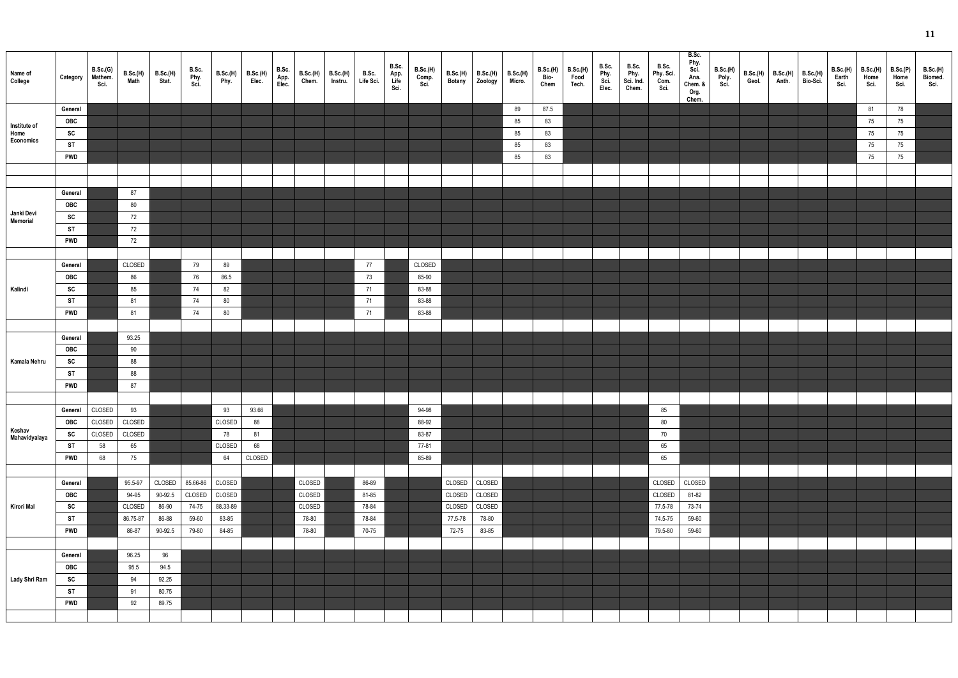| Name of<br>College     | Category                | B.Sc.(G)<br>Mathem.<br>Sci. | B.Sc.(H)<br>Math | B.Sc.(H)<br>Stat. | B.Sc.<br>Phy.<br>Sci | B.Sc.(H)<br>Phy. | B.Sc.(H)<br>Elec. | B.Sc.<br>App.<br>Elec. | B.Sc.(H)<br>Chem. | B.Sc.(H)<br>Instru. | B.Sc.<br>Life Sci. | B.Sc.<br>App.<br>Life<br>Sci. | B.Sc.(H)<br>Comp.<br>Sci. | B.Sc.(H)<br>Botany | B.Sc.(H)<br>Zoology | B.Sc.(H)<br>Micro. | B.Sc.(H)<br>Bio-<br>Chem | B.Sc.(H)<br>Food<br>Tech. | B.Sc.<br>Phy.<br>Sci.<br>Elec. | B.Sc.<br>Phy.<br>Sci. Ind.<br>Chem. | B.Sc.<br>Phy. Sci.<br>Com.<br>Sci. | B.Sc.<br>Phy.<br>Sci.<br>Ana.<br>Chem. &<br>Org.<br>Chem. | B.Sc.(H)<br>Poly.<br>Sci. | B.Sc.(H)<br>Geol. | B.Sc.(H)<br>Anth. | B.Sc.(H)<br>Bio-Sci. | B.Sc.(H)<br>Earth<br>Sci. | <b>B.Sc.(H)</b><br>Home<br>Sci. | B.Sc.(P)<br>Home<br>Sci. | B.Sc.(H)<br>Biomed.<br>Sci. |
|------------------------|-------------------------|-----------------------------|------------------|-------------------|----------------------|------------------|-------------------|------------------------|-------------------|---------------------|--------------------|-------------------------------|---------------------------|--------------------|---------------------|--------------------|--------------------------|---------------------------|--------------------------------|-------------------------------------|------------------------------------|-----------------------------------------------------------|---------------------------|-------------------|-------------------|----------------------|---------------------------|---------------------------------|--------------------------|-----------------------------|
|                        | General                 |                             |                  |                   |                      |                  |                   |                        |                   |                     |                    |                               |                           |                    |                     | 89                 | 87.5                     |                           |                                |                                     |                                    |                                                           |                           |                   |                   |                      |                           | 81                              | 78                       |                             |
| Institute of           | OBC                     |                             |                  |                   |                      |                  |                   |                        |                   |                     |                    |                               |                           |                    |                     | 85                 | 83                       |                           |                                |                                     |                                    |                                                           |                           |                   |                   |                      |                           | 75                              | 75                       |                             |
| Home<br>Economics      | SC                      |                             |                  |                   |                      |                  |                   |                        |                   |                     |                    |                               |                           |                    |                     | 85                 | 83                       |                           |                                |                                     |                                    |                                                           |                           |                   |                   |                      |                           | 75                              | 75                       |                             |
|                        | <b>ST</b>               |                             |                  |                   |                      |                  |                   |                        |                   |                     |                    |                               |                           |                    |                     | 85                 | 83                       |                           |                                |                                     |                                    |                                                           |                           |                   |                   |                      |                           | 75                              | 75                       |                             |
|                        | <b>PWD</b>              |                             |                  |                   |                      |                  |                   |                        |                   |                     |                    |                               |                           |                    |                     | 85                 | 83                       |                           |                                |                                     |                                    |                                                           |                           |                   |                   |                      |                           | 75                              | 75                       |                             |
|                        |                         |                             |                  |                   |                      |                  |                   |                        |                   |                     |                    |                               |                           |                    |                     |                    |                          |                           |                                |                                     |                                    |                                                           |                           |                   |                   |                      |                           |                                 |                          |                             |
|                        |                         |                             |                  |                   |                      |                  |                   |                        |                   |                     |                    |                               |                           |                    |                     |                    |                          |                           |                                |                                     |                                    |                                                           |                           |                   |                   |                      |                           |                                 |                          |                             |
|                        | General                 |                             | 87               |                   |                      |                  |                   |                        |                   |                     |                    |                               |                           |                    |                     |                    |                          |                           |                                |                                     |                                    |                                                           |                           |                   |                   |                      |                           |                                 |                          |                             |
| Janki Devi<br>Memorial | OBC<br>SC               |                             | 80<br>72         |                   |                      |                  |                   |                        |                   |                     |                    |                               |                           |                    |                     |                    |                          |                           |                                |                                     |                                    |                                                           |                           |                   |                   |                      |                           |                                 |                          |                             |
|                        | <b>ST</b>               |                             | 72               |                   |                      |                  |                   |                        |                   |                     |                    |                               |                           |                    |                     |                    |                          |                           |                                |                                     |                                    |                                                           |                           |                   |                   |                      |                           |                                 |                          |                             |
|                        | <b>PWD</b>              |                             | 72               |                   |                      |                  |                   |                        |                   |                     |                    |                               |                           |                    |                     |                    |                          |                           |                                |                                     |                                    |                                                           |                           |                   |                   |                      |                           |                                 |                          |                             |
|                        |                         |                             |                  |                   |                      |                  |                   |                        |                   |                     |                    |                               |                           |                    |                     |                    |                          |                           |                                |                                     |                                    |                                                           |                           |                   |                   |                      |                           |                                 |                          |                             |
|                        | General                 |                             | CLOSED           |                   | 79                   | 89               |                   |                        |                   |                     | 77                 |                               | CLOSED                    |                    |                     |                    |                          |                           |                                |                                     |                                    |                                                           |                           |                   |                   |                      |                           |                                 |                          |                             |
|                        | OBC                     |                             | 86               |                   | 76                   | 86.5             |                   |                        |                   |                     | 73                 |                               | 85-90                     |                    |                     |                    |                          |                           |                                |                                     |                                    |                                                           |                           |                   |                   |                      |                           |                                 |                          |                             |
| Kalindi                | SC                      |                             | 85               |                   | 74                   | 82               |                   |                        |                   |                     | 71                 |                               | 83-88                     |                    |                     |                    |                          |                           |                                |                                     |                                    |                                                           |                           |                   |                   |                      |                           |                                 |                          |                             |
|                        | <b>ST</b>               |                             | 81               |                   | 74                   | 80               |                   |                        |                   |                     | 71                 |                               | 83-88                     |                    |                     |                    |                          |                           |                                |                                     |                                    |                                                           |                           |                   |                   |                      |                           |                                 |                          |                             |
|                        | <b>PWD</b>              |                             | 81               |                   | 74                   | 80               |                   |                        |                   |                     | 71                 |                               | 83-88                     |                    |                     |                    |                          |                           |                                |                                     |                                    |                                                           |                           |                   |                   |                      |                           |                                 |                          |                             |
|                        |                         |                             |                  |                   |                      |                  |                   |                        |                   |                     |                    |                               |                           |                    |                     |                    |                          |                           |                                |                                     |                                    |                                                           |                           |                   |                   |                      |                           |                                 |                          |                             |
|                        | General                 |                             | 93.25            |                   |                      |                  |                   |                        |                   |                     |                    |                               |                           |                    |                     |                    |                          |                           |                                |                                     |                                    |                                                           |                           |                   |                   |                      |                           |                                 |                          |                             |
|                        | <b>OBC</b>              |                             | 90               |                   |                      |                  |                   |                        |                   |                     |                    |                               |                           |                    |                     |                    |                          |                           |                                |                                     |                                    |                                                           |                           |                   |                   |                      |                           |                                 |                          |                             |
| Kamala Nehru           | SC                      |                             | 88               |                   |                      |                  |                   |                        |                   |                     |                    |                               |                           |                    |                     |                    |                          |                           |                                |                                     |                                    |                                                           |                           |                   |                   |                      |                           |                                 |                          |                             |
|                        | <b>ST</b>               |                             | 88               |                   |                      |                  |                   |                        |                   |                     |                    |                               |                           |                    |                     |                    |                          |                           |                                |                                     |                                    |                                                           |                           |                   |                   |                      |                           |                                 |                          |                             |
|                        | <b>PWD</b>              |                             | 87               |                   |                      |                  |                   |                        |                   |                     |                    |                               |                           |                    |                     |                    |                          |                           |                                |                                     |                                    |                                                           |                           |                   |                   |                      |                           |                                 |                          |                             |
|                        |                         |                             |                  |                   |                      |                  |                   |                        |                   |                     |                    |                               |                           |                    |                     |                    |                          |                           |                                |                                     |                                    |                                                           |                           |                   |                   |                      |                           |                                 |                          |                             |
|                        |                         | General CLOSED 93           |                  |                   |                      | 93               | 93.66             |                        |                   |                     |                    |                               | 94-98                     |                    |                     |                    |                          |                           |                                |                                     | 85                                 |                                                           |                           |                   |                   |                      |                           |                                 |                          |                             |
| Keshav                 | OBC                     | CLOSED                      | CLOSED           |                   |                      | CLOSED           | 88                |                        |                   |                     |                    |                               | 88-92                     |                    |                     |                    |                          |                           |                                |                                     | 80                                 |                                                           |                           |                   |                   |                      |                           |                                 |                          |                             |
| Mahavidyalaya          | SC                      | CLOSED                      | CLOSED           |                   |                      | 78               | 81                |                        |                   |                     |                    |                               | 83-87                     |                    |                     |                    |                          |                           |                                |                                     | 70                                 |                                                           |                           |                   |                   |                      |                           |                                 |                          |                             |
|                        | <b>ST</b><br><b>PWD</b> | 58<br>68                    | 65<br>75         |                   |                      | CLOSED<br>64     | 68<br>CLOSED      |                        |                   |                     |                    |                               | 77-81<br>85-89            |                    |                     |                    |                          |                           |                                |                                     | 65<br>65                           |                                                           |                           |                   |                   |                      |                           |                                 |                          |                             |
|                        |                         |                             |                  |                   |                      |                  |                   |                        |                   |                     |                    |                               |                           |                    |                     |                    |                          |                           |                                |                                     |                                    |                                                           |                           |                   |                   |                      |                           |                                 |                          |                             |
|                        | General                 |                             | 95.5-97          | CLOSED            | 85.66-86             | CLOSED           |                   |                        | CLOSED            |                     | 86-89              |                               |                           |                    | CLOSED CLOSED       |                    |                          |                           |                                |                                     | CLOSED                             | CLOSED                                                    |                           |                   |                   |                      |                           |                                 |                          |                             |
|                        | OBC                     |                             | 94-95            | 90-92.5           | CLOSED               | CLOSED           |                   |                        | CLOSED            |                     | 81-85              |                               |                           | CLOSED             | CLOSED              |                    |                          |                           |                                |                                     | CLOSED                             | 81-82                                                     |                           |                   |                   |                      |                           |                                 |                          |                             |
| Kirori Mal             | SC                      |                             | CLOSED           | 86-90             | 74-75                | 88.33-89         |                   |                        | CLOSED            |                     | 78-84              |                               |                           | CLOSED             | CLOSED              |                    |                          |                           |                                |                                     | 77.5-78                            | 73-74                                                     |                           |                   |                   |                      |                           |                                 |                          |                             |
|                        | ST                      |                             | 86.75-87         | 86-88             | 59-60                | 83-85            |                   |                        | 78-80             |                     | 78-84              |                               |                           | 77.5-78            | 78-80               |                    |                          |                           |                                |                                     | 74.5-75                            | 59-60                                                     |                           |                   |                   |                      |                           |                                 |                          |                             |
|                        | <b>PWD</b>              |                             | 86-87            | 90-92.5           | 79-80                | 84-85            |                   |                        | 78-80             |                     | 70-75              |                               |                           | 72-75              | 83-85               |                    |                          |                           |                                |                                     | 79.5-80                            | 59-60                                                     |                           |                   |                   |                      |                           |                                 |                          |                             |
|                        |                         |                             |                  |                   |                      |                  |                   |                        |                   |                     |                    |                               |                           |                    |                     |                    |                          |                           |                                |                                     |                                    |                                                           |                           |                   |                   |                      |                           |                                 |                          |                             |
|                        | General                 |                             | 96.25            | 96                |                      |                  |                   |                        |                   |                     |                    |                               |                           |                    |                     |                    |                          |                           |                                |                                     |                                    |                                                           |                           |                   |                   |                      |                           |                                 |                          |                             |
|                        | OBC                     |                             | 95.5             | 94.5              |                      |                  |                   |                        |                   |                     |                    |                               |                           |                    |                     |                    |                          |                           |                                |                                     |                                    |                                                           |                           |                   |                   |                      |                           |                                 |                          |                             |
| Lady Shri Ram          | SC                      |                             | 94               | 92.25             |                      |                  |                   |                        |                   |                     |                    |                               |                           |                    |                     |                    |                          |                           |                                |                                     |                                    |                                                           |                           |                   |                   |                      |                           |                                 |                          |                             |
|                        | <b>ST</b>               |                             | 91               | 80.75             |                      |                  |                   |                        |                   |                     |                    |                               |                           |                    |                     |                    |                          |                           |                                |                                     |                                    |                                                           |                           |                   |                   |                      |                           |                                 |                          |                             |
|                        | <b>PWD</b>              |                             | 92               | 89.75             |                      |                  |                   |                        |                   |                     |                    |                               |                           |                    |                     |                    |                          |                           |                                |                                     |                                    |                                                           |                           |                   |                   |                      |                           |                                 |                          |                             |
|                        |                         |                             |                  |                   |                      |                  |                   |                        |                   |                     |                    |                               |                           |                    |                     |                    |                          |                           |                                |                                     |                                    |                                                           |                           |                   |                   |                      |                           |                                 |                          |                             |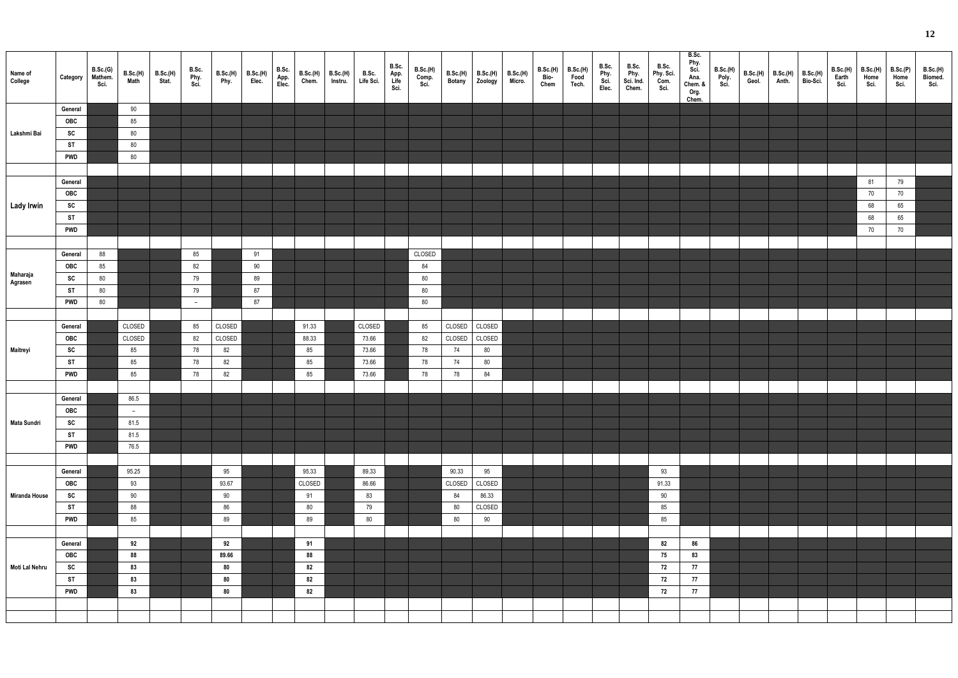| Name of<br>College  | Category   | B.Sc.(G)<br>Mathem.<br>Sci. | B.Sc.(H)<br>Math | B.Sc.(H)<br>Stat. | B.Sc.<br>Phy.<br>Sci. | B.Sc.(H)<br>Phy. | B.Sc.(H)<br>Elec. | B.Sc.<br>App.<br>Elec. | B.Sc.(H)<br>Chem. | B.Sc.(H)<br>Instru. | B.Sc.<br>Life Sci. | B.Sc.<br>App.<br>Life<br>Sci. | B.Sc.(H)<br>Comp.<br>Sci. | B.Sc.(H)<br>Botany | B.Sc.(H)<br>Zoology | B.Sc.(H)<br>Micro. | B.Sc.(H)<br>Bio<br>Chem | B.Sc.(H)<br>Food<br>Tech. | B.Sc.<br>Phy.<br>Sci.<br>Elec. | B.Sc.<br>Phy.<br>Sci. Ind.<br>Chem. | B.Sc.<br>Phy. Sci.<br>Com.<br>Sci. | B.Sc.<br>Phy.<br>Sci.<br>Ana.<br>Chem. &<br>Org.<br>Chem. | B.Sc.(H)<br>Poly.<br>Sci. | B.Sc.(H)<br>Geol. | B.Sc.(H)<br>Anth. | B.Sc.(H)<br>Bio-Sci. | B.Sc.(H)<br>Earth<br>Sci. | <b>B.Sc.(H)</b><br>Home <sup>1</sup><br>Sci. | B.Sc.(P)<br>Home<br>Sci. | B.Sc.(H)<br>Biomed.<br>Sci. |
|---------------------|------------|-----------------------------|------------------|-------------------|-----------------------|------------------|-------------------|------------------------|-------------------|---------------------|--------------------|-------------------------------|---------------------------|--------------------|---------------------|--------------------|-------------------------|---------------------------|--------------------------------|-------------------------------------|------------------------------------|-----------------------------------------------------------|---------------------------|-------------------|-------------------|----------------------|---------------------------|----------------------------------------------|--------------------------|-----------------------------|
|                     | General    |                             | 90               |                   |                       |                  |                   |                        |                   |                     |                    |                               |                           |                    |                     |                    |                         |                           |                                |                                     |                                    |                                                           |                           |                   |                   |                      |                           |                                              |                          |                             |
|                     | OBC        |                             | 85               |                   |                       |                  |                   |                        |                   |                     |                    |                               |                           |                    |                     |                    |                         |                           |                                |                                     |                                    |                                                           |                           |                   |                   |                      |                           |                                              |                          |                             |
| Lakshmi Bai         | SC         |                             | 80               |                   |                       |                  |                   |                        |                   |                     |                    |                               |                           |                    |                     |                    |                         |                           |                                |                                     |                                    |                                                           |                           |                   |                   |                      |                           |                                              |                          |                             |
|                     | <b>ST</b>  |                             | 80               |                   |                       |                  |                   |                        |                   |                     |                    |                               |                           |                    |                     |                    |                         |                           |                                |                                     |                                    |                                                           |                           |                   |                   |                      |                           |                                              |                          |                             |
|                     | <b>PWD</b> |                             | 80               |                   |                       |                  |                   |                        |                   |                     |                    |                               |                           |                    |                     |                    |                         |                           |                                |                                     |                                    |                                                           |                           |                   |                   |                      |                           |                                              |                          |                             |
|                     |            |                             |                  |                   |                       |                  |                   |                        |                   |                     |                    |                               |                           |                    |                     |                    |                         |                           |                                |                                     |                                    |                                                           |                           |                   |                   |                      |                           |                                              |                          |                             |
|                     |            |                             |                  |                   |                       |                  |                   |                        |                   |                     |                    |                               |                           |                    |                     |                    |                         |                           |                                |                                     |                                    |                                                           |                           |                   |                   |                      |                           |                                              |                          |                             |
|                     | General    |                             |                  |                   |                       |                  |                   |                        |                   |                     |                    |                               |                           |                    |                     |                    |                         |                           |                                |                                     |                                    |                                                           |                           |                   |                   |                      |                           | 81                                           | 79                       |                             |
|                     | OBC        |                             |                  |                   |                       |                  |                   |                        |                   |                     |                    |                               |                           |                    |                     |                    |                         |                           |                                |                                     |                                    |                                                           |                           |                   |                   |                      |                           | 70                                           | 70                       |                             |
| Lady Irwin          | SC         |                             |                  |                   |                       |                  |                   |                        |                   |                     |                    |                               |                           |                    |                     |                    |                         |                           |                                |                                     |                                    |                                                           |                           |                   |                   |                      |                           | 68                                           | 65                       |                             |
|                     | <b>ST</b>  |                             |                  |                   |                       |                  |                   |                        |                   |                     |                    |                               |                           |                    |                     |                    |                         |                           |                                |                                     |                                    |                                                           |                           |                   |                   |                      |                           | 68                                           | 65                       |                             |
|                     | <b>PWD</b> |                             |                  |                   |                       |                  |                   |                        |                   |                     |                    |                               |                           |                    |                     |                    |                         |                           |                                |                                     |                                    |                                                           |                           |                   |                   |                      |                           | 70                                           | 70                       |                             |
|                     |            |                             |                  |                   |                       |                  |                   |                        |                   |                     |                    |                               |                           |                    |                     |                    |                         |                           |                                |                                     |                                    |                                                           |                           |                   |                   |                      |                           |                                              |                          |                             |
|                     | General    | 88                          |                  |                   | 85                    |                  | 91                |                        |                   |                     |                    |                               | CLOSED                    |                    |                     |                    |                         |                           |                                |                                     |                                    |                                                           |                           |                   |                   |                      |                           |                                              |                          |                             |
|                     | OBC        | 85                          |                  |                   | 82                    |                  | 90                |                        |                   |                     |                    |                               | 84                        |                    |                     |                    |                         |                           |                                |                                     |                                    |                                                           |                           |                   |                   |                      |                           |                                              |                          |                             |
| Maharaja<br>Agrasen | SC         | 80                          |                  |                   | 79                    |                  | 89                |                        |                   |                     |                    |                               | 80                        |                    |                     |                    |                         |                           |                                |                                     |                                    |                                                           |                           |                   |                   |                      |                           |                                              |                          |                             |
|                     | <b>ST</b>  | 80                          |                  |                   | 79                    |                  | 87                |                        |                   |                     |                    |                               | 80                        |                    |                     |                    |                         |                           |                                |                                     |                                    |                                                           |                           |                   |                   |                      |                           |                                              |                          |                             |
|                     | <b>PWD</b> | 80                          |                  |                   | $ \,$                 |                  | 87                |                        |                   |                     |                    |                               | 80                        |                    |                     |                    |                         |                           |                                |                                     |                                    |                                                           |                           |                   |                   |                      |                           |                                              |                          |                             |
|                     |            |                             |                  |                   |                       |                  |                   |                        |                   |                     |                    |                               |                           |                    |                     |                    |                         |                           |                                |                                     |                                    |                                                           |                           |                   |                   |                      |                           |                                              |                          |                             |
|                     | General    |                             | CLOSED           |                   | 85                    | CLOSED           |                   |                        | 91.33             |                     | CLOSED             |                               | 85                        | CLOSED             | CLOSED              |                    |                         |                           |                                |                                     |                                    |                                                           |                           |                   |                   |                      |                           |                                              |                          |                             |
|                     | OBC        |                             | CLOSED           |                   | 82                    | CLOSED           |                   |                        | 88.33             |                     | 73.66              |                               | 82                        | CLOSED             | CLOSED              |                    |                         |                           |                                |                                     |                                    |                                                           |                           |                   |                   |                      |                           |                                              |                          |                             |
| Maitreyi            | SC         |                             | 85               |                   | 78                    | 82               |                   |                        | 85                |                     | 73.66              |                               | 78                        | 74                 | 80                  |                    |                         |                           |                                |                                     |                                    |                                                           |                           |                   |                   |                      |                           |                                              |                          |                             |
|                     | <b>ST</b>  |                             | 85               |                   | 78                    | 82               |                   |                        | 85                |                     | 73.66              |                               | 78                        | 74                 | 80                  |                    |                         |                           |                                |                                     |                                    |                                                           |                           |                   |                   |                      |                           |                                              |                          |                             |
|                     | <b>PWD</b> |                             | 85               |                   | 78                    | 82               |                   |                        | 85                |                     | 73.66              |                               | 78                        | 78                 | 84                  |                    |                         |                           |                                |                                     |                                    |                                                           |                           |                   |                   |                      |                           |                                              |                          |                             |
|                     |            |                             |                  |                   |                       |                  |                   |                        |                   |                     |                    |                               |                           |                    |                     |                    |                         |                           |                                |                                     |                                    |                                                           |                           |                   |                   |                      |                           |                                              |                          |                             |
|                     | General    |                             | 86.5             |                   |                       |                  |                   |                        |                   |                     |                    |                               |                           |                    |                     |                    |                         |                           |                                |                                     |                                    |                                                           |                           |                   |                   |                      |                           |                                              |                          |                             |
|                     | OBC        |                             | $-$              |                   |                       |                  |                   |                        |                   |                     |                    |                               |                           |                    |                     |                    |                         |                           |                                |                                     |                                    |                                                           |                           |                   |                   |                      |                           |                                              |                          |                             |
| Mata Sundri         | SC         |                             | 81.5             |                   |                       |                  |                   |                        |                   |                     |                    |                               |                           |                    |                     |                    |                         |                           |                                |                                     |                                    |                                                           |                           |                   |                   |                      |                           |                                              |                          |                             |
|                     | <b>ST</b>  |                             | 81.5             |                   |                       |                  |                   |                        |                   |                     |                    |                               |                           |                    |                     |                    |                         |                           |                                |                                     |                                    |                                                           |                           |                   |                   |                      |                           |                                              |                          |                             |
|                     | <b>PWD</b> |                             | 76.5             |                   |                       |                  |                   |                        |                   |                     |                    |                               |                           |                    |                     |                    |                         |                           |                                |                                     |                                    |                                                           |                           |                   |                   |                      |                           |                                              |                          |                             |
|                     |            |                             |                  |                   |                       |                  |                   |                        |                   |                     |                    |                               |                           |                    |                     |                    |                         |                           |                                |                                     |                                    |                                                           |                           |                   |                   |                      |                           |                                              |                          |                             |
|                     | General    |                             | 95.25            |                   |                       | 95               |                   |                        | 95.33             |                     | 89.33              |                               |                           | 90.33              | 95                  |                    |                         |                           |                                |                                     | 93                                 |                                                           |                           |                   |                   |                      |                           |                                              |                          |                             |
|                     | OBC        |                             |                  |                   |                       | 93.67            |                   |                        | CLOSED            |                     | 86.66              |                               |                           | CLOSED             |                     |                    |                         |                           |                                |                                     | 91.33                              |                                                           |                           |                   |                   |                      |                           |                                              |                          |                             |
|                     |            |                             | 93               |                   |                       |                  |                   |                        |                   |                     |                    |                               |                           |                    | CLOSED              |                    |                         |                           |                                |                                     |                                    |                                                           |                           |                   |                   |                      |                           |                                              |                          |                             |
| Miranda House       | SC         |                             | 90               |                   |                       | 90               |                   |                        | 91                |                     | 83                 |                               |                           | 84                 | 86.33               |                    |                         |                           |                                |                                     | 90                                 |                                                           |                           |                   |                   |                      |                           |                                              |                          |                             |
|                     | <b>ST</b>  |                             | 88               |                   |                       | 86               |                   |                        | 80                |                     | 79                 |                               |                           | 80                 | CLOSED              |                    |                         |                           |                                |                                     | 85                                 |                                                           |                           |                   |                   |                      |                           |                                              |                          |                             |
|                     | <b>PWD</b> |                             | 85               |                   |                       | 89               |                   |                        | 89                |                     | 80                 |                               |                           | 80                 | 90                  |                    |                         |                           |                                |                                     | 85                                 |                                                           |                           |                   |                   |                      |                           |                                              |                          |                             |
|                     |            |                             |                  |                   |                       |                  |                   |                        |                   |                     |                    |                               |                           |                    |                     |                    |                         |                           |                                |                                     |                                    |                                                           |                           |                   |                   |                      |                           |                                              |                          |                             |
|                     | General    |                             | 92               |                   |                       | 92               |                   |                        | 91                |                     |                    |                               |                           |                    |                     |                    |                         |                           |                                |                                     | 82                                 | 86                                                        |                           |                   |                   |                      |                           |                                              |                          |                             |
|                     | OBC        |                             | 88               |                   |                       | 89.66            |                   |                        | 88                |                     |                    |                               |                           |                    |                     |                    |                         |                           |                                |                                     | 75                                 | 83                                                        |                           |                   |                   |                      |                           |                                              |                          |                             |
| Moti Lal Nehru      | SC         |                             | 83               |                   |                       | 80               |                   |                        | 82                |                     |                    |                               |                           |                    |                     |                    |                         |                           |                                |                                     | 72                                 | 77                                                        |                           |                   |                   |                      |                           |                                              |                          |                             |
|                     | <b>ST</b>  |                             | 83               |                   |                       | 80               |                   |                        | 82                |                     |                    |                               |                           |                    |                     |                    |                         |                           |                                |                                     | 72                                 | 77                                                        |                           |                   |                   |                      |                           |                                              |                          |                             |
|                     | <b>PWD</b> |                             | 83               |                   |                       | 80               |                   |                        | 82                |                     |                    |                               |                           |                    |                     |                    |                         |                           |                                |                                     | 72                                 | 77                                                        |                           |                   |                   |                      |                           |                                              |                          |                             |
|                     |            |                             |                  |                   |                       |                  |                   |                        |                   |                     |                    |                               |                           |                    |                     |                    |                         |                           |                                |                                     |                                    |                                                           |                           |                   |                   |                      |                           |                                              |                          |                             |
|                     |            |                             |                  |                   |                       |                  |                   |                        |                   |                     |                    |                               |                           |                    |                     |                    |                         |                           |                                |                                     |                                    |                                                           |                           |                   |                   |                      |                           |                                              |                          |                             |
|                     |            |                             |                  |                   |                       |                  |                   |                        |                   |                     |                    |                               |                           |                    |                     |                    |                         |                           |                                |                                     |                                    |                                                           |                           |                   |                   |                      |                           |                                              |                          |                             |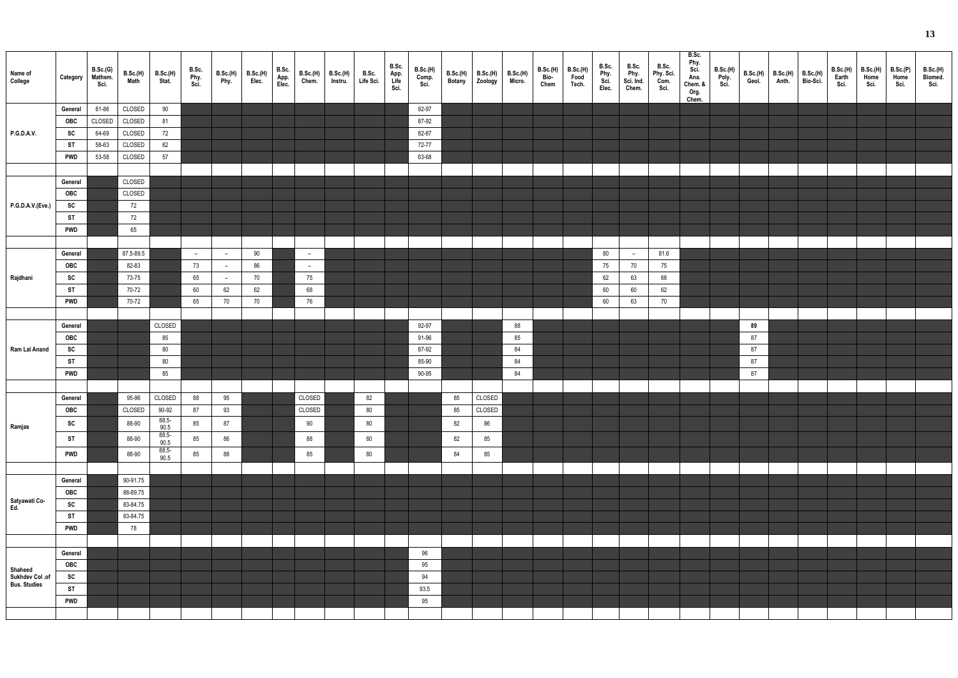| Name of<br>College   | Category   | B.Sc.(G)<br>Mathem.<br>Sci. | B.Sc.(H)<br>Math | B.Sc.(H)<br>Stat. | B.Sc.<br>Phy.<br>Sci. | B.Sc.(H)<br>Phy. | B.Sc.(H)<br>Elec. | B.Sc.<br>App.<br>Elec. | B.Sc.(H)<br>Chem. | B.Sc.(H)<br>Instru. | B.Sc.<br>Life Sci. | B.Sc.<br>App.<br>Life<br>Sci. | <b>B.Sc.(H)</b><br>Comp. | B.Sc.(H)<br><b>Botany</b> | B.Sc.(H)<br>Zoology | B.Sc.(H)<br>Micro. | B.Sc.(H)<br>Bio-<br>Chem | B.Sc.(H)<br>Food<br>Tech. | B.Sc.<br>Phy.<br>Sci.<br>Elec. | B.Sc.<br>Phy.<br>Sci. Ind.<br>Chem. | B.Sc.<br>Phy. Sci.<br>Com.<br>Sci. | B.Sc.<br>Phy.<br>Sci.<br>Ana.<br>Chem. &<br>Org.<br>Chem. | B.Sc.(H)<br>Poly.<br>Sci. |    | B.Sc.(H) B.Sc.(H)<br>Geol. Anth. | B.Sc.(H)<br>Bio-Sci. | B.Sc.(H)<br>Earth<br>Sci. | <b>B.Sc.(H)</b><br>Home<br>Sci. | B.Sc.(P)<br>Home<br>Sci. | B.Sc.(H)<br>Biomed.<br>Sci. |
|----------------------|------------|-----------------------------|------------------|-------------------|-----------------------|------------------|-------------------|------------------------|-------------------|---------------------|--------------------|-------------------------------|--------------------------|---------------------------|---------------------|--------------------|--------------------------|---------------------------|--------------------------------|-------------------------------------|------------------------------------|-----------------------------------------------------------|---------------------------|----|----------------------------------|----------------------|---------------------------|---------------------------------|--------------------------|-----------------------------|
|                      | General    | 81-86                       | CLOSED           | 90                |                       |                  |                   |                        |                   |                     |                    |                               | 92-97                    |                           |                     |                    |                          |                           |                                |                                     |                                    |                                                           |                           |    |                                  |                      |                           |                                 |                          |                             |
|                      | OBC        | CLOSED                      | CLOSED           | 81                |                       |                  |                   |                        |                   |                     |                    |                               | 87-92                    |                           |                     |                    |                          |                           |                                |                                     |                                    |                                                           |                           |    |                                  |                      |                           |                                 |                          |                             |
| P.G.D.A.V.           | SC         | 64-69                       | CLOSED           | 72                |                       |                  |                   |                        |                   |                     |                    |                               | 82-87                    |                           |                     |                    |                          |                           |                                |                                     |                                    |                                                           |                           |    |                                  |                      |                           |                                 |                          |                             |
|                      | <b>ST</b>  | 58-63                       | CLOSED           | 62                |                       |                  |                   |                        |                   |                     |                    |                               | 72-77                    |                           |                     |                    |                          |                           |                                |                                     |                                    |                                                           |                           |    |                                  |                      |                           |                                 |                          |                             |
|                      | <b>PWD</b> | 53-58                       | CLOSED           | 57                |                       |                  |                   |                        |                   |                     |                    |                               | 63-68                    |                           |                     |                    |                          |                           |                                |                                     |                                    |                                                           |                           |    |                                  |                      |                           |                                 |                          |                             |
|                      |            |                             |                  |                   |                       |                  |                   |                        |                   |                     |                    |                               |                          |                           |                     |                    |                          |                           |                                |                                     |                                    |                                                           |                           |    |                                  |                      |                           |                                 |                          |                             |
|                      | General    |                             | CLOSED           |                   |                       |                  |                   |                        |                   |                     |                    |                               |                          |                           |                     |                    |                          |                           |                                |                                     |                                    |                                                           |                           |    |                                  |                      |                           |                                 |                          |                             |
|                      | OBC        |                             | CLOSED           |                   |                       |                  |                   |                        |                   |                     |                    |                               |                          |                           |                     |                    |                          |                           |                                |                                     |                                    |                                                           |                           |    |                                  |                      |                           |                                 |                          |                             |
| P.G.D.A.V.(Eve.)     | SC         |                             | 72               |                   |                       |                  |                   |                        |                   |                     |                    |                               |                          |                           |                     |                    |                          |                           |                                |                                     |                                    |                                                           |                           |    |                                  |                      |                           |                                 |                          |                             |
|                      | <b>ST</b>  |                             | 72               |                   |                       |                  |                   |                        |                   |                     |                    |                               |                          |                           |                     |                    |                          |                           |                                |                                     |                                    |                                                           |                           |    |                                  |                      |                           |                                 |                          |                             |
|                      |            |                             |                  |                   |                       |                  |                   |                        |                   |                     |                    |                               |                          |                           |                     |                    |                          |                           |                                |                                     |                                    |                                                           |                           |    |                                  |                      |                           |                                 |                          |                             |
|                      | <b>PWD</b> |                             | 65               |                   |                       |                  |                   |                        |                   |                     |                    |                               |                          |                           |                     |                    |                          |                           |                                |                                     |                                    |                                                           |                           |    |                                  |                      |                           |                                 |                          |                             |
|                      |            |                             |                  |                   |                       |                  |                   |                        |                   |                     |                    |                               |                          |                           |                     |                    |                          |                           |                                |                                     |                                    |                                                           |                           |    |                                  |                      |                           |                                 |                          |                             |
|                      | General    |                             | 87.5-89.5        |                   | $-$                   | $\overline{a}$   | 90                |                        | $\sim$            |                     |                    |                               |                          |                           |                     |                    |                          |                           | $80\,$                         | $-$                                 | 81.6                               |                                                           |                           |    |                                  |                      |                           |                                 |                          |                             |
|                      | OBC        |                             | 82-83            |                   | 73                    | $\overline{a}$   | 86                |                        | $\sim$            |                     |                    |                               |                          |                           |                     |                    |                          |                           | 75                             | 70                                  | 75                                 |                                                           |                           |    |                                  |                      |                           |                                 |                          |                             |
| Rajdhani             | SC         |                             | 73-75            |                   | 65                    | $\overline{a}$   | 70                |                        | 75                |                     |                    |                               |                          |                           |                     |                    |                          |                           | 62                             | 63                                  | 68                                 |                                                           |                           |    |                                  |                      |                           |                                 |                          |                             |
|                      | <b>ST</b>  |                             | 70-72            |                   | 60                    | 62               | 62                |                        | 68                |                     |                    |                               |                          |                           |                     |                    |                          |                           | 60                             | 60                                  | 62                                 |                                                           |                           |    |                                  |                      |                           |                                 |                          |                             |
|                      | <b>PWD</b> |                             | 70-72            |                   | 65                    | 70               | 70                |                        | 76                |                     |                    |                               |                          |                           |                     |                    |                          |                           | 60                             | 63                                  | 70                                 |                                                           |                           |    |                                  |                      |                           |                                 |                          |                             |
|                      |            |                             |                  |                   |                       |                  |                   |                        |                   |                     |                    |                               |                          |                           |                     |                    |                          |                           |                                |                                     |                                    |                                                           |                           |    |                                  |                      |                           |                                 |                          |                             |
|                      | General    |                             |                  | CLOSED            |                       |                  |                   |                        |                   |                     |                    |                               | 92-97                    |                           |                     | 88                 |                          |                           |                                |                                     |                                    |                                                           |                           | 89 |                                  |                      |                           |                                 |                          |                             |
|                      | OBC        |                             |                  | 85                |                       |                  |                   |                        |                   |                     |                    |                               | 91-96                    |                           |                     | 85                 |                          |                           |                                |                                     |                                    |                                                           |                           | 87 |                                  |                      |                           |                                 |                          |                             |
| Ram Lal Anand        | SC         |                             |                  | $80\,$            |                       |                  |                   |                        |                   |                     |                    |                               | 87-92                    |                           |                     | 84                 |                          |                           |                                |                                     |                                    |                                                           |                           | 87 |                                  |                      |                           |                                 |                          |                             |
|                      | ST         |                             |                  | $80\,$            |                       |                  |                   |                        |                   |                     |                    |                               | 85-90                    |                           |                     | 84                 |                          |                           |                                |                                     |                                    |                                                           |                           | 87 |                                  |                      |                           |                                 |                          |                             |
|                      | <b>PWD</b> |                             |                  | 85                |                       |                  |                   |                        |                   |                     |                    |                               | 90-95                    |                           |                     | 84                 |                          |                           |                                |                                     |                                    |                                                           |                           | 87 |                                  |                      |                           |                                 |                          |                             |
|                      |            |                             |                  |                   |                       |                  |                   |                        |                   |                     |                    |                               |                          |                           |                     |                    |                          |                           |                                |                                     |                                    |                                                           |                           |    |                                  |                      |                           |                                 |                          |                             |
|                      | General    |                             | 95-96            | CLOSED            | 88                    | 95               |                   |                        | CLOSED            |                     | 82                 |                               |                          | 85                        | CLOSED              |                    |                          |                           |                                |                                     |                                    |                                                           |                           |    |                                  |                      |                           |                                 |                          |                             |
|                      | <b>OBC</b> |                             | CLOSED           | 90-92             | 87                    | 93               |                   |                        | CLOSED            |                     | 80                 |                               |                          | 85                        | CLOSED              |                    |                          |                           |                                |                                     |                                    |                                                           |                           |    |                                  |                      |                           |                                 |                          |                             |
| Ramjas               | SC         |                             | 88-90            | $88.5 -$<br>90.5  | 85                    | 87               |                   |                        | 90                |                     | 80                 |                               |                          | 82                        | 86                  |                    |                          |                           |                                |                                     |                                    |                                                           |                           |    |                                  |                      |                           |                                 |                          |                             |
|                      | ST         |                             | 88-90            | $88.5 -$          | 85                    | 86               |                   |                        | 88                |                     | 80                 |                               |                          | 82                        | 85                  |                    |                          |                           |                                |                                     |                                    |                                                           |                           |    |                                  |                      |                           |                                 |                          |                             |
|                      |            |                             |                  | 90.5<br>88.5-     |                       |                  |                   |                        |                   |                     |                    |                               |                          |                           |                     |                    |                          |                           |                                |                                     |                                    |                                                           |                           |    |                                  |                      |                           |                                 |                          |                             |
|                      | <b>PWD</b> |                             | 88-90            | 90.5              | 85                    | 88               |                   |                        | 85                |                     | 80                 |                               |                          | 84                        | 85                  |                    |                          |                           |                                |                                     |                                    |                                                           |                           |    |                                  |                      |                           |                                 |                          |                             |
|                      |            |                             |                  |                   |                       |                  |                   |                        |                   |                     |                    |                               |                          |                           |                     |                    |                          |                           |                                |                                     |                                    |                                                           |                           |    |                                  |                      |                           |                                 |                          |                             |
|                      | General    |                             | 90-91.75         |                   |                       |                  |                   |                        |                   |                     |                    |                               |                          |                           |                     |                    |                          |                           |                                |                                     |                                    |                                                           |                           |    |                                  |                      |                           |                                 |                          |                             |
|                      | OBC        |                             | 88-89.75         |                   |                       |                  |                   |                        |                   |                     |                    |                               |                          |                           |                     |                    |                          |                           |                                |                                     |                                    |                                                           |                           |    |                                  |                      |                           |                                 |                          |                             |
| Satyawati Co-<br>Ed. | SC         |                             | 83-84.75         |                   |                       |                  |                   |                        |                   |                     |                    |                               |                          |                           |                     |                    |                          |                           |                                |                                     |                                    |                                                           |                           |    |                                  |                      |                           |                                 |                          |                             |
|                      | <b>ST</b>  |                             | 83-84.75         |                   |                       |                  |                   |                        |                   |                     |                    |                               |                          |                           |                     |                    |                          |                           |                                |                                     |                                    |                                                           |                           |    |                                  |                      |                           |                                 |                          |                             |
|                      | <b>PWD</b> |                             | 78               |                   |                       |                  |                   |                        |                   |                     |                    |                               |                          |                           |                     |                    |                          |                           |                                |                                     |                                    |                                                           |                           |    |                                  |                      |                           |                                 |                          |                             |
|                      |            |                             |                  |                   |                       |                  |                   |                        |                   |                     |                    |                               |                          |                           |                     |                    |                          |                           |                                |                                     |                                    |                                                           |                           |    |                                  |                      |                           |                                 |                          |                             |
|                      | General    |                             |                  |                   |                       |                  |                   |                        |                   |                     |                    |                               | 96                       |                           |                     |                    |                          |                           |                                |                                     |                                    |                                                           |                           |    |                                  |                      |                           |                                 |                          |                             |
| Shaheed              | OBC        |                             |                  |                   |                       |                  |                   |                        |                   |                     |                    |                               | 95                       |                           |                     |                    |                          |                           |                                |                                     |                                    |                                                           |                           |    |                                  |                      |                           |                                 |                          |                             |
| Sukhdev Col .of      | SC         |                             |                  |                   |                       |                  |                   |                        |                   |                     |                    |                               | 94                       |                           |                     |                    |                          |                           |                                |                                     |                                    |                                                           |                           |    |                                  |                      |                           |                                 |                          |                             |
| <b>Bus. Studies</b>  | <b>ST</b>  |                             |                  |                   |                       |                  |                   |                        |                   |                     |                    |                               | 93.5                     |                           |                     |                    |                          |                           |                                |                                     |                                    |                                                           |                           |    |                                  |                      |                           |                                 |                          |                             |
|                      | <b>PWD</b> |                             |                  |                   |                       |                  |                   |                        |                   |                     |                    |                               | 95                       |                           |                     |                    |                          |                           |                                |                                     |                                    |                                                           |                           |    |                                  |                      |                           |                                 |                          |                             |
|                      |            |                             |                  |                   |                       |                  |                   |                        |                   |                     |                    |                               |                          |                           |                     |                    |                          |                           |                                |                                     |                                    |                                                           |                           |    |                                  |                      |                           |                                 |                          |                             |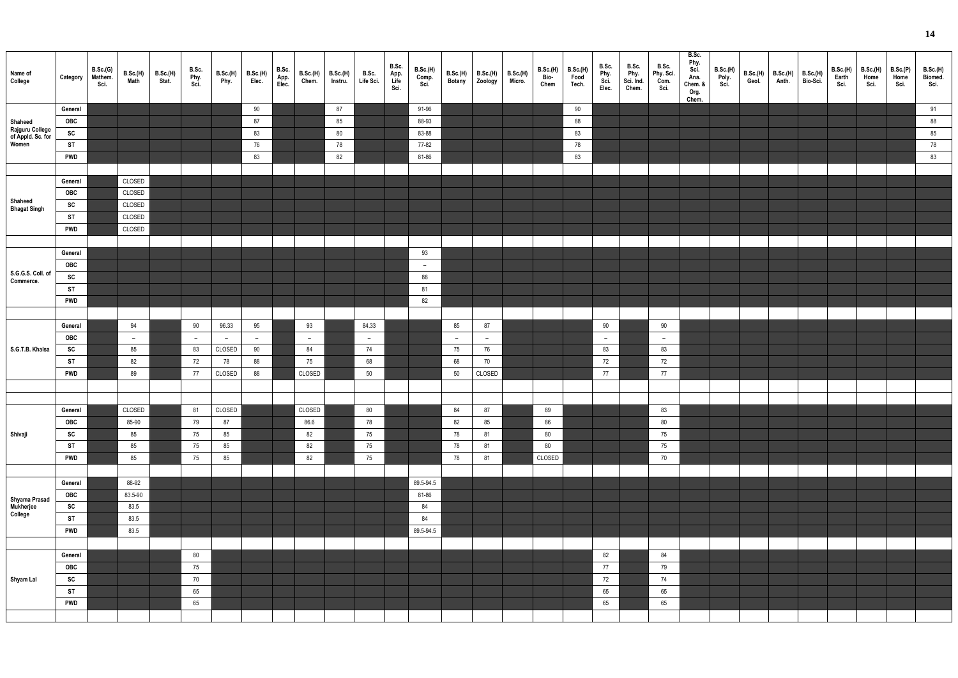| Name of<br>College                            | Category       | B.Sc.(G)<br>Mathem.<br>Sci. | B.Sc.(H)<br>Math | <b>B.Sc.(H)</b><br>Stat. | B.Sc.<br>Phy.<br>Sci. | B.Sc.(H)<br>Phy. | <b>B.Sc.(H)</b><br>Elec. | B.Sc.<br>App.<br>Elec. | <b>B.Sc.(H)</b><br>Chem. | B.Sc.(H)<br>Instru. | B.Sc.<br>Life Sci.       | B.Sc.<br>App.<br>Life<br>Sci. | B.Sc.(H)<br>Comp.<br>Sci. | B.Sc.(H)<br><b>Botany</b> | B.Sc.(H) B.Sc.(H)<br>Zoology Micro. | B.Sc.(H)<br>Bio-<br>Chem | B.Sc.(H)<br>Food<br>Tech. | B.Sc.<br>Phy.<br>Sci.<br>Elec. | B.Sc.<br>Phy.<br>Sci. Ind.<br>Chem. | B.Sc.<br>Phy. Sci.<br>Com.<br>Sci. | B.Sc.<br>Phy.<br>Sci.<br>Ana.<br>Chem. &<br>Org.<br>Chem. | B.Sc.(H)<br>Poly.<br>Sci. | B.Sc.(H)<br>Geol. | B.Sc.(H)<br>Anth. | <b>B.Sc.(H)</b><br>Bio-Sci. | B.Sc.(H)<br>Earth<br>Sci. | B.Sc.(H)<br>Home<br>Sci. | B.Sc.(P)<br>Home<br>Sci. | B.Sc.(H)<br>Biomed.<br>Sci. |
|-----------------------------------------------|----------------|-----------------------------|------------------|--------------------------|-----------------------|------------------|--------------------------|------------------------|--------------------------|---------------------|--------------------------|-------------------------------|---------------------------|---------------------------|-------------------------------------|--------------------------|---------------------------|--------------------------------|-------------------------------------|------------------------------------|-----------------------------------------------------------|---------------------------|-------------------|-------------------|-----------------------------|---------------------------|--------------------------|--------------------------|-----------------------------|
|                                               | General        |                             |                  |                          |                       |                  | 90                       |                        |                          | 87                  |                          |                               | 91-96                     |                           |                                     |                          | 90                        |                                |                                     |                                    |                                                           |                           |                   |                   |                             |                           |                          |                          | 91                          |
| Shaheed                                       | OBC            |                             |                  |                          |                       |                  | 87                       |                        |                          | 85                  |                          |                               | 88-93                     |                           |                                     |                          | 88                        |                                |                                     |                                    |                                                           |                           |                   |                   |                             |                           |                          |                          | 88                          |
| Rajguru College<br>of Appld. Sc. for<br>Women | SC             |                             |                  |                          |                       |                  | 83                       |                        |                          | 80                  |                          |                               | 83-88                     |                           |                                     |                          | 83                        |                                |                                     |                                    |                                                           |                           |                   |                   |                             |                           |                          |                          | 85                          |
|                                               | <b>ST</b>      |                             |                  |                          |                       |                  | 76                       |                        |                          | 78                  |                          |                               | 77-82                     |                           |                                     |                          | 78                        |                                |                                     |                                    |                                                           |                           |                   |                   |                             |                           |                          |                          | 78                          |
|                                               | <b>PWD</b>     |                             |                  |                          |                       |                  | 83                       |                        |                          | 82                  |                          |                               | 81-86                     |                           |                                     |                          | 83                        |                                |                                     |                                    |                                                           |                           |                   |                   |                             |                           |                          |                          | 83                          |
|                                               |                |                             |                  |                          |                       |                  |                          |                        |                          |                     |                          |                               |                           |                           |                                     |                          |                           |                                |                                     |                                    |                                                           |                           |                   |                   |                             |                           |                          |                          |                             |
|                                               | General        |                             | CLOSED           |                          |                       |                  |                          |                        |                          |                     |                          |                               |                           |                           |                                     |                          |                           |                                |                                     |                                    |                                                           |                           |                   |                   |                             |                           |                          |                          |                             |
| Shaheed                                       | <b>OBC</b>     |                             | CLOSED           |                          |                       |                  |                          |                        |                          |                     |                          |                               |                           |                           |                                     |                          |                           |                                |                                     |                                    |                                                           |                           |                   |                   |                             |                           |                          |                          |                             |
| <b>Bhagat Singh</b>                           | SC             |                             | CLOSED           |                          |                       |                  |                          |                        |                          |                     |                          |                               |                           |                           |                                     |                          |                           |                                |                                     |                                    |                                                           |                           |                   |                   |                             |                           |                          |                          |                             |
|                                               | <b>ST</b>      |                             | CLOSED<br>CLOSED |                          |                       |                  |                          |                        |                          |                     |                          |                               |                           |                           |                                     |                          |                           |                                |                                     |                                    |                                                           |                           |                   |                   |                             |                           |                          |                          |                             |
|                                               | <b>PWD</b>     |                             |                  |                          |                       |                  |                          |                        |                          |                     |                          |                               |                           |                           |                                     |                          |                           |                                |                                     |                                    |                                                           |                           |                   |                   |                             |                           |                          |                          |                             |
|                                               | General        |                             |                  |                          |                       |                  |                          |                        |                          |                     |                          |                               | 93                        |                           |                                     |                          |                           |                                |                                     |                                    |                                                           |                           |                   |                   |                             |                           |                          |                          |                             |
|                                               | <b>OBC</b>     |                             |                  |                          |                       |                  |                          |                        |                          |                     |                          |                               | $\overline{a}$            |                           |                                     |                          |                           |                                |                                     |                                    |                                                           |                           |                   |                   |                             |                           |                          |                          |                             |
| S.G.G.S. Coll. of                             | SC             |                             |                  |                          |                       |                  |                          |                        |                          |                     |                          |                               | 88                        |                           |                                     |                          |                           |                                |                                     |                                    |                                                           |                           |                   |                   |                             |                           |                          |                          |                             |
| Commerce.                                     | <b>ST</b>      |                             |                  |                          |                       |                  |                          |                        |                          |                     |                          |                               | 81                        |                           |                                     |                          |                           |                                |                                     |                                    |                                                           |                           |                   |                   |                             |                           |                          |                          |                             |
|                                               | <b>PWD</b>     |                             |                  |                          |                       |                  |                          |                        |                          |                     |                          |                               | 82                        |                           |                                     |                          |                           |                                |                                     |                                    |                                                           |                           |                   |                   |                             |                           |                          |                          |                             |
|                                               |                |                             |                  |                          |                       |                  |                          |                        |                          |                     |                          |                               |                           |                           |                                     |                          |                           |                                |                                     |                                    |                                                           |                           |                   |                   |                             |                           |                          |                          |                             |
|                                               | General        |                             | 94               |                          | 90                    | 96.33            | 95                       |                        | 93                       |                     | 84.33                    |                               |                           | 85                        | 87                                  |                          |                           | 90                             |                                     | 90                                 |                                                           |                           |                   |                   |                             |                           |                          |                          |                             |
|                                               | <b>OBC</b>     |                             | $\sim$           |                          | $\sim$                | $ \,$            | $-$                      |                        | $\sim$                   |                     | $\overline{\phantom{a}}$ |                               |                           | $\overline{\phantom{m}}$  | $-$                                 |                          |                           | $\overline{a}$                 |                                     | $-$                                |                                                           |                           |                   |                   |                             |                           |                          |                          |                             |
| S.G.T.B. Khalsa                               | SC             |                             | 85               |                          | 83                    | CLOSED           | 90                       |                        | 84                       |                     | 74                       |                               |                           | $75\,$                    | 76                                  |                          |                           | 83                             |                                     | 83                                 |                                                           |                           |                   |                   |                             |                           |                          |                          |                             |
|                                               | <b>ST</b>      |                             | 82               |                          | 72                    | 78               | 88                       |                        | 75                       |                     | 68                       |                               |                           | 68                        | 70                                  |                          |                           | 72                             |                                     | 72                                 |                                                           |                           |                   |                   |                             |                           |                          |                          |                             |
|                                               | <b>PWD</b>     |                             | 89               |                          | 77                    | CLOSED           | 88                       |                        | CLOSED                   |                     | 50                       |                               |                           | 50                        | CLOSED                              |                          |                           | 77                             |                                     | 77                                 |                                                           |                           |                   |                   |                             |                           |                          |                          |                             |
|                                               |                |                             |                  |                          |                       |                  |                          |                        |                          |                     |                          |                               |                           |                           |                                     |                          |                           |                                |                                     |                                    |                                                           |                           |                   |                   |                             |                           |                          |                          |                             |
|                                               |                |                             |                  |                          |                       |                  |                          |                        |                          |                     |                          |                               |                           |                           |                                     |                          |                           |                                |                                     |                                    |                                                           |                           |                   |                   |                             |                           |                          |                          |                             |
|                                               | General        |                             | CLOSED           |                          | 81                    | CLOSED           |                          |                        | CLOSED                   |                     | 80                       |                               |                           | 84                        | 87                                  | 89                       |                           |                                |                                     | 83                                 |                                                           |                           |                   |                   |                             |                           |                          |                          |                             |
|                                               | OBC            |                             | 85-90            |                          | 79                    | 87               |                          |                        | 86.6                     |                     | 78                       |                               |                           | 82                        | 85                                  | 86                       |                           |                                |                                     | 80                                 |                                                           |                           |                   |                   |                             |                           |                          |                          |                             |
| Shivaji                                       | SC             |                             | 85               |                          | 75                    | 85               |                          |                        | 82                       |                     | 75                       |                               |                           | 78                        | 81                                  | $80\,$                   |                           |                                |                                     | 75                                 |                                                           |                           |                   |                   |                             |                           |                          |                          |                             |
|                                               | <b>ST</b>      |                             | 85               |                          | 75                    | 85               |                          |                        | 82                       |                     | 75                       |                               |                           | 78                        | 81                                  | 80                       |                           |                                |                                     | 75                                 |                                                           |                           |                   |                   |                             |                           |                          |                          |                             |
|                                               | <b>PWD</b>     |                             | 85               |                          | 75                    | 85               |                          |                        | 82                       |                     | 75                       |                               |                           | 78                        | 81                                  | CLOSED                   |                           |                                |                                     | 70                                 |                                                           |                           |                   |                   |                             |                           |                          |                          |                             |
|                                               |                |                             |                  |                          |                       |                  |                          |                        |                          |                     |                          |                               |                           |                           |                                     |                          |                           |                                |                                     |                                    |                                                           |                           |                   |                   |                             |                           |                          |                          |                             |
|                                               | General<br>OBC |                             | 88-92<br>83.5-90 |                          |                       |                  |                          |                        |                          |                     |                          |                               | 89.5-94.5<br>81-86        |                           |                                     |                          |                           |                                |                                     |                                    |                                                           |                           |                   |                   |                             |                           |                          |                          |                             |
| Shyama Prasad<br>Mukherjee                    | SC             |                             | 83.5             |                          |                       |                  |                          |                        |                          |                     |                          |                               | 84                        |                           |                                     |                          |                           |                                |                                     |                                    |                                                           |                           |                   |                   |                             |                           |                          |                          |                             |
| College                                       | <b>ST</b>      |                             | 83.5             |                          |                       |                  |                          |                        |                          |                     |                          |                               | 84                        |                           |                                     |                          |                           |                                |                                     |                                    |                                                           |                           |                   |                   |                             |                           |                          |                          |                             |
|                                               | <b>PWD</b>     |                             | 83.5             |                          |                       |                  |                          |                        |                          |                     |                          |                               | 89.5-94.5                 |                           |                                     |                          |                           |                                |                                     |                                    |                                                           |                           |                   |                   |                             |                           |                          |                          |                             |
|                                               |                |                             |                  |                          |                       |                  |                          |                        |                          |                     |                          |                               |                           |                           |                                     |                          |                           |                                |                                     |                                    |                                                           |                           |                   |                   |                             |                           |                          |                          |                             |
|                                               | General        |                             |                  |                          | 80                    |                  |                          |                        |                          |                     |                          |                               |                           |                           |                                     |                          |                           | 82                             |                                     | 84                                 |                                                           |                           |                   |                   |                             |                           |                          |                          |                             |
|                                               | OBC            |                             |                  |                          | 75                    |                  |                          |                        |                          |                     |                          |                               |                           |                           |                                     |                          |                           | 77                             |                                     | 79                                 |                                                           |                           |                   |                   |                             |                           |                          |                          |                             |
| Shyam Lal                                     | SC             |                             |                  |                          | 70                    |                  |                          |                        |                          |                     |                          |                               |                           |                           |                                     |                          |                           | 72                             |                                     | 74                                 |                                                           |                           |                   |                   |                             |                           |                          |                          |                             |
|                                               | <b>ST</b>      |                             |                  |                          | 65                    |                  |                          |                        |                          |                     |                          |                               |                           |                           |                                     |                          |                           | 65                             |                                     | 65                                 |                                                           |                           |                   |                   |                             |                           |                          |                          |                             |
|                                               | <b>PWD</b>     |                             |                  |                          | 65                    |                  |                          |                        |                          |                     |                          |                               |                           |                           |                                     |                          |                           | 65                             |                                     | 65                                 |                                                           |                           |                   |                   |                             |                           |                          |                          |                             |
|                                               |                |                             |                  |                          |                       |                  |                          |                        |                          |                     |                          |                               |                           |                           |                                     |                          |                           |                                |                                     |                                    |                                                           |                           |                   |                   |                             |                           |                          |                          |                             |